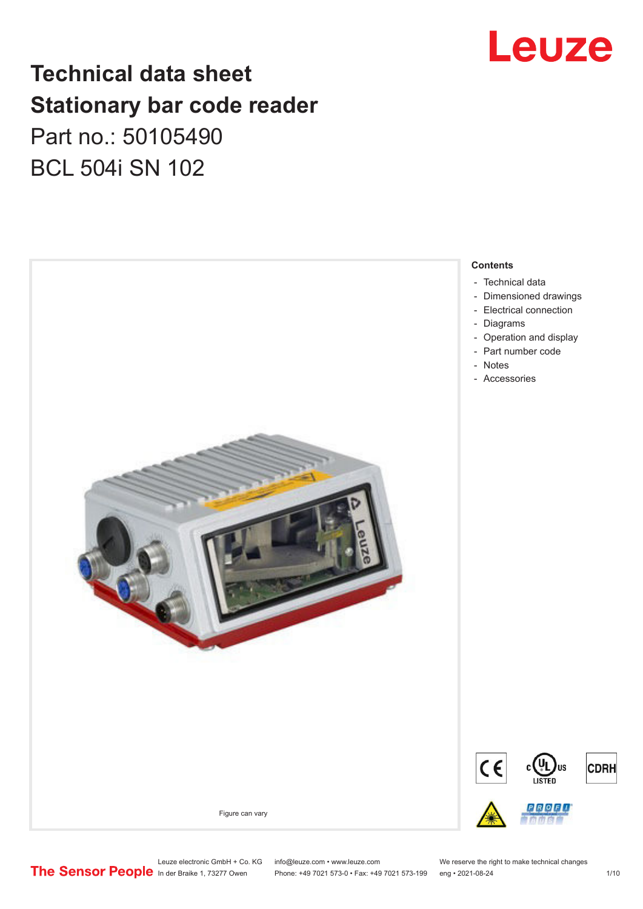

## **Technical data sheet Stationary bar code reader** Part no.: 50105490 BCL 504i SN 102



Leuze electronic GmbH + Co. KG info@leuze.com • www.leuze.com We reserve the right to make technical changes<br>
The Sensor People in der Braike 1, 73277 Owen Phone: +49 7021 573-0 • Fax: +49 7021 573-199 eng • 2021-08-24

Phone: +49 7021 573-0 • Fax: +49 7021 573-199 eng • 2021-08-24 1 1 10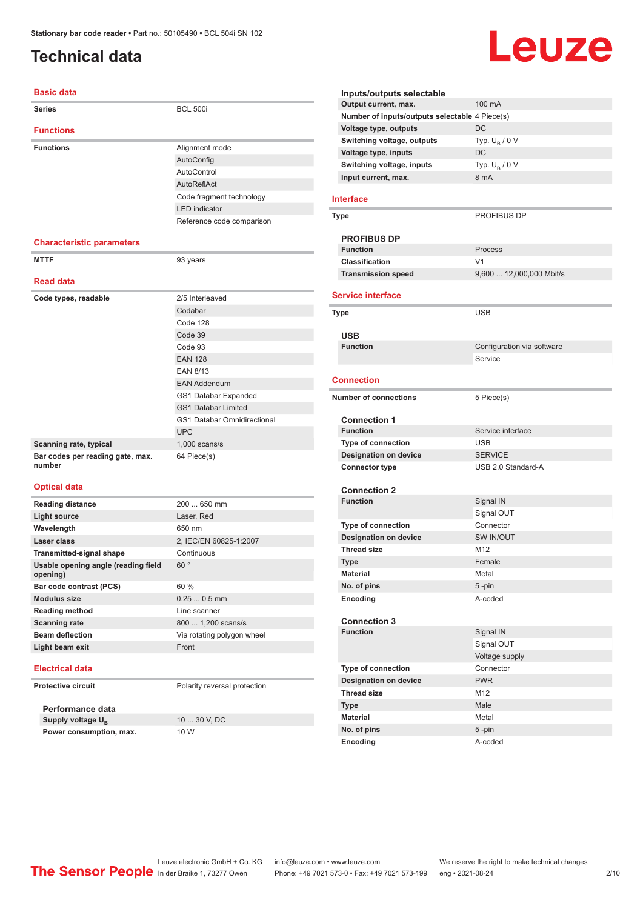### <span id="page-1-0"></span>**Technical data**

#### **Basic data**

| <b>Series</b>                              | <b>BCL 500i</b>                    |  |  |
|--------------------------------------------|------------------------------------|--|--|
| <b>Functions</b>                           |                                    |  |  |
| <b>Functions</b>                           | Alignment mode                     |  |  |
|                                            | AutoConfig                         |  |  |
|                                            | AutoControl                        |  |  |
|                                            | AutoReflAct                        |  |  |
|                                            | Code fragment technology           |  |  |
|                                            | <b>LED</b> indicator               |  |  |
|                                            | Reference code comparison          |  |  |
| <b>Characteristic parameters</b>           |                                    |  |  |
| <b>MTTF</b>                                | 93 years                           |  |  |
| <b>Read data</b>                           |                                    |  |  |
|                                            |                                    |  |  |
| Code types, readable                       | 2/5 Interleaved                    |  |  |
|                                            | Codabar                            |  |  |
|                                            | Code 128                           |  |  |
|                                            | Code 39                            |  |  |
|                                            | Code 93                            |  |  |
|                                            | <b>EAN 128</b>                     |  |  |
|                                            | <b>EAN 8/13</b>                    |  |  |
|                                            | <b>EAN Addendum</b>                |  |  |
|                                            | GS1 Databar Expanded               |  |  |
|                                            | <b>GS1 Databar Limited</b>         |  |  |
|                                            | <b>GS1 Databar Omnidirectional</b> |  |  |
|                                            | <b>UPC</b>                         |  |  |
| Scanning rate, typical                     | $1,000$ scans/s                    |  |  |
| Bar codes per reading gate, max.<br>number | 64 Piece(s)                        |  |  |
| <b>Optical data</b>                        |                                    |  |  |
| <b>Reading distance</b>                    | 200  650 mm                        |  |  |
|                                            |                                    |  |  |

| neading distance                                | 200  000 HHH               |
|-------------------------------------------------|----------------------------|
| <b>Light source</b>                             | Laser, Red                 |
| Wavelength                                      | 650 nm                     |
| Laser class                                     | 2, IEC/EN 60825-1:2007     |
| <b>Transmitted-signal shape</b>                 | Continuous                 |
| Usable opening angle (reading field<br>opening) | 60°                        |
| Bar code contrast (PCS)                         | 60%                        |
| <b>Modulus size</b>                             | $0.250.5$ mm               |
| <b>Reading method</b>                           | Line scanner               |
| <b>Scanning rate</b>                            | 800  1,200 scans/s         |
| <b>Beam deflection</b>                          | Via rotating polygon wheel |
| Light beam exit                                 | Front                      |
| -- -- - -                                       |                            |

### **Electrical data**

**Protective circuit** Polarity reversal protection

**Performance data Supply voltage U<sub>B</sub> Power consumption, max.** 10 W

10 ... 30 V, DC

| Inputs/outputs selectable                      |                            |  |  |
|------------------------------------------------|----------------------------|--|--|
| Output current, max.                           | 100 mA                     |  |  |
| Number of inputs/outputs selectable 4 Piece(s) |                            |  |  |
| Voltage type, outputs                          | DC                         |  |  |
| Switching voltage, outputs                     | Typ. $U_R / 0 V$           |  |  |
| Voltage type, inputs                           | DC                         |  |  |
| Switching voltage, inputs                      | Typ. $U_{\rm B}$ / 0 V     |  |  |
| Input current, max.                            | 8 mA                       |  |  |
|                                                |                            |  |  |
| <b>Interface</b>                               |                            |  |  |
| Type                                           | PROFIBUS DP                |  |  |
|                                                |                            |  |  |
| <b>PROFIBUS DP</b>                             |                            |  |  |
| <b>Function</b>                                | Process                    |  |  |
| <b>Classification</b>                          | V <sub>1</sub>             |  |  |
| <b>Transmission speed</b>                      | 9,600  12,000,000 Mbit/s   |  |  |
|                                                |                            |  |  |
| <b>Service interface</b>                       |                            |  |  |
| <b>Type</b>                                    | <b>USB</b>                 |  |  |
|                                                |                            |  |  |
| USB                                            |                            |  |  |
| <b>Function</b>                                | Configuration via software |  |  |
|                                                | Service                    |  |  |
| <b>Connection</b>                              |                            |  |  |
|                                                |                            |  |  |
| <b>Number of connections</b>                   | 5 Piece(s)                 |  |  |
|                                                |                            |  |  |
| Connection 1<br><b>Function</b>                | Service interface          |  |  |
| <b>Type of connection</b>                      | <b>USB</b>                 |  |  |
|                                                | <b>SERVICE</b>             |  |  |
| <b>Designation on device</b>                   | USB 2.0 Standard-A         |  |  |
| <b>Connector type</b>                          |                            |  |  |
| <b>Connection 2</b>                            |                            |  |  |
| <b>Function</b>                                | Signal IN                  |  |  |
|                                                | Signal OUT                 |  |  |
| <b>Type of connection</b>                      | Connector                  |  |  |
| <b>Designation on device</b>                   | SW IN/OUT                  |  |  |
| <b>Thread size</b>                             | M <sub>12</sub>            |  |  |
| Type                                           | Female                     |  |  |
| Material                                       | Metal                      |  |  |
| No. of pins                                    | 5-pin                      |  |  |
| Encoding                                       | A-coded                    |  |  |
|                                                |                            |  |  |
| <b>Connection 3</b>                            |                            |  |  |
| <b>Function</b>                                | Signal IN                  |  |  |
|                                                | Signal OUT                 |  |  |
|                                                | Voltage supply             |  |  |
| <b>Type of connection</b>                      | Connector                  |  |  |
| <b>Designation on device</b>                   | <b>PWR</b>                 |  |  |
| Thread size                                    | M12                        |  |  |
| <b>Type</b>                                    | Male                       |  |  |
| Material                                       | Metal                      |  |  |
| No. of pins                                    | 5-pin                      |  |  |
| Encoding                                       | A-coded                    |  |  |
|                                                |                            |  |  |

Leuze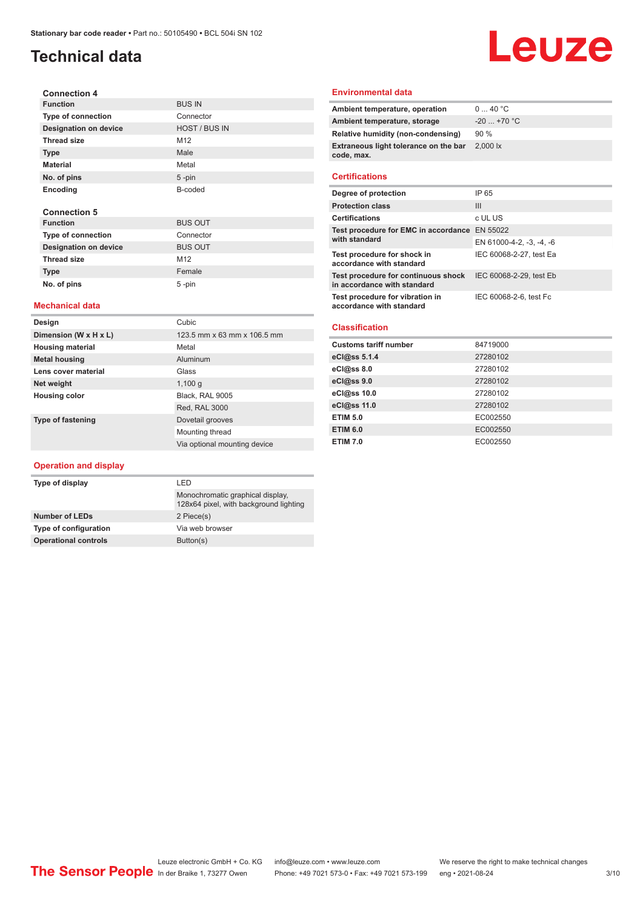### **Technical data**

# Leuze

| <b>Connection 4</b>          |                 |
|------------------------------|-----------------|
| <b>Function</b>              | <b>BUS IN</b>   |
| <b>Type of connection</b>    | Connector       |
| <b>Designation on device</b> | HOST / BUS IN   |
| <b>Thread size</b>           | M <sub>12</sub> |
| <b>Type</b>                  | Male            |
| <b>Material</b>              | Metal           |
| No. of pins                  | $5 - pin$       |
| Encoding                     | B-coded         |
| <b>Connection 5</b>          |                 |
| <b>Function</b>              | <b>BUS OUT</b>  |
| <b>Type of connection</b>    | Connector       |
| <b>Designation on device</b> | <b>BUS OUT</b>  |

#### **Mechanical data**

į,

**Thread size** M12 **Type Female No. of pins** 5 -pin

| Design                   | Cubic                        |  |
|--------------------------|------------------------------|--|
| Dimension (W x H x L)    | 123.5 mm x 63 mm x 106.5 mm  |  |
| <b>Housing material</b>  | Metal                        |  |
| <b>Metal housing</b>     | Aluminum                     |  |
| Lens cover material      | Glass                        |  |
| Net weight               | 1,100q                       |  |
| <b>Housing color</b>     | Black. RAL 9005              |  |
|                          | Red, RAL 3000                |  |
| <b>Type of fastening</b> | Dovetail grooves             |  |
|                          | Mounting thread              |  |
|                          | Via optional mounting device |  |

#### **Operation and display**

| Type of display             | I FD                                                                       |  |
|-----------------------------|----------------------------------------------------------------------------|--|
|                             | Monochromatic graphical display,<br>128x64 pixel, with background lighting |  |
| <b>Number of LEDs</b>       | 2 Piece(s)                                                                 |  |
| Type of configuration       | Via web browser                                                            |  |
| <b>Operational controls</b> | Button(s)                                                                  |  |

#### **Environmental data**

| Ambient temperature, operation                      | 040 °C                         |
|-----------------------------------------------------|--------------------------------|
| Ambient temperature, storage                        | $-20$ +70 °C                   |
| Relative humidity (non-condensing)                  | 90%                            |
| Extraneous light tolerance on the bar<br>code, max. | $2,000$ $\overline{\text{lx}}$ |
|                                                     |                                |

#### **Certifications**

| Degree of protection                                               | IP 65                    |
|--------------------------------------------------------------------|--------------------------|
| <b>Protection class</b>                                            | Ш                        |
| <b>Certifications</b>                                              | c UL US                  |
| Test procedure for EMC in accordance EN 55022<br>with standard     |                          |
|                                                                    | EN 61000-4-2, -3, -4, -6 |
| Test procedure for shock in<br>accordance with standard            | IEC 60068-2-27, test Ea  |
| Test procedure for continuous shock<br>in accordance with standard | IEC 60068-2-29, test Eb  |
| Test procedure for vibration in<br>accordance with standard        | IEC 60068-2-6, test Fc   |

#### **Classification**

| <b>Customs tariff number</b> | 84719000 |
|------------------------------|----------|
| eCl@ss 5.1.4                 | 27280102 |
| eCl@ss 8.0                   | 27280102 |
| eCl@ss 9.0                   | 27280102 |
| eCl@ss 10.0                  | 27280102 |
| eCl@ss 11.0                  | 27280102 |
| <b>ETIM 5.0</b>              | EC002550 |
| <b>ETIM 6.0</b>              | EC002550 |
| <b>ETIM 7.0</b>              | EC002550 |
|                              |          |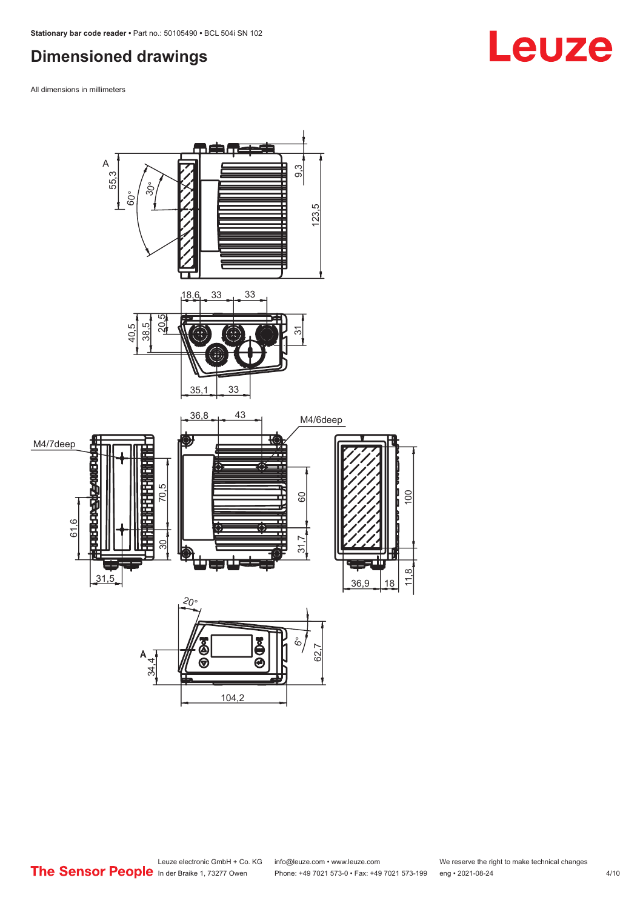### <span id="page-3-0"></span>**Dimensioned drawings**

All dimensions in millimeters



# **Leuze**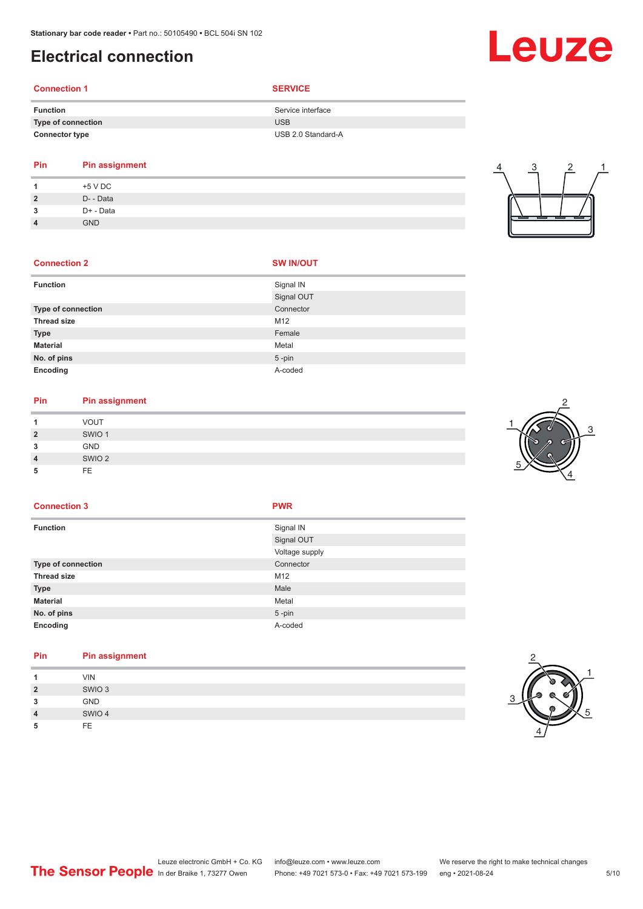### <span id="page-4-0"></span>**Electrical connection**

### **Connection 1 SERVICE**

| Service interface  |
|--------------------|
| <b>USB</b>         |
| USB 2.0 Standard-A |
|                    |

### **Pin Pin assignment 1** +5 V DC

|               | +5 V DC    |
|---------------|------------|
| $\mathcal{P}$ | D- - Data  |
| 3             | D+ - Data  |
| 4             | <b>GND</b> |
|               |            |

# 4 3 2 1

#### **Connection 2**

|  | <b>SW IN/OUT</b> |  |
|--|------------------|--|
|  |                  |  |

| <b>Function</b>           | Signal IN  |
|---------------------------|------------|
|                           | Signal OUT |
| <b>Type of connection</b> | Connector  |
| <b>Thread size</b>        | M12        |
| <b>Type</b>               | Female     |
| <b>Material</b>           | Metal      |
| No. of pins               | $5$ -pin   |
| Encoding                  | A-coded    |

### **Pin Pin assignment**

|         | <b>VOUT</b>       |
|---------|-------------------|
| כי<br>∼ | SWIO <sub>1</sub> |
| ິ<br>w  | <b>GND</b>        |
| 4       | SWIO <sub>2</sub> |
|         | <b>FE</b>         |



#### **Connection 3 PWR**

| <b>Function</b>           | Signal IN      |
|---------------------------|----------------|
|                           | Signal OUT     |
|                           | Voltage supply |
| <b>Type of connection</b> | Connector      |
| <b>Thread size</b>        | M12            |
| <b>Type</b>               | Male           |
| <b>Material</b>           | Metal          |
| No. of pins               | $5$ -pin       |
| Encoding                  | A-coded        |

#### **Pin Pin assignment**

| и              | <b>VIN</b>        |
|----------------|-------------------|
| $\overline{2}$ | SWIO <sub>3</sub> |
| 3              | <b>GND</b>        |
| $\overline{4}$ | SWIO 4            |
| 5              | FE                |



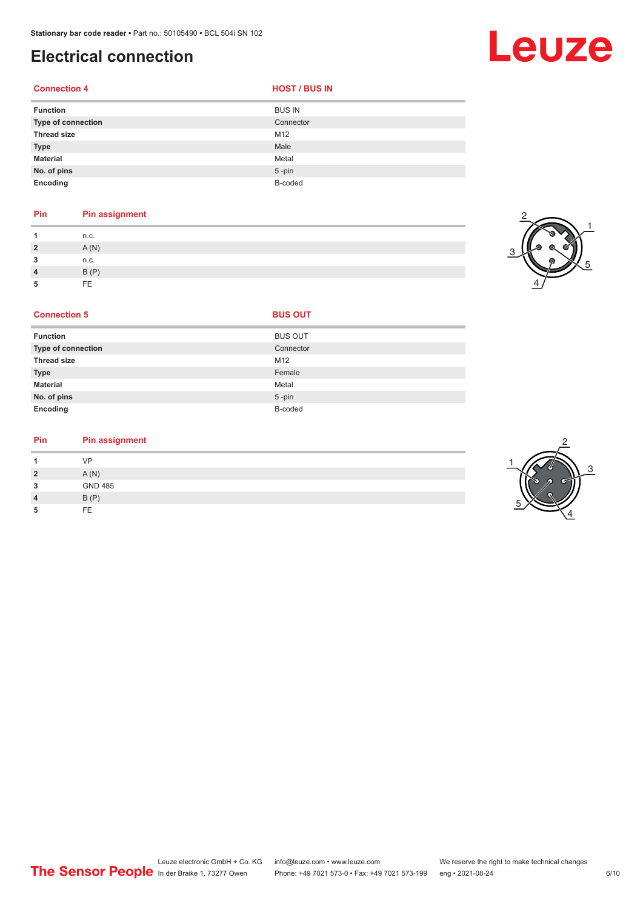### **Electrical connection**

**Connection 4 HOST** / BUS IN

| <b>Function</b>    | <b>BUS IN</b> |
|--------------------|---------------|
| Type of connection | Connector     |
| <b>Thread size</b> | M12           |
| <b>Type</b>        | Male          |
| <b>Material</b>    | Metal         |
| No. of pins        | $5$ -pin      |
| Encoding           | B-coded       |

#### **Pin Pin assignment**

|                | n.c. |
|----------------|------|
| $\overline{2}$ | A(N) |
| 3              | n.c. |
|                | B(P) |
|                | FF   |



Leuze

| <b>Function</b>           | <b>BUS OUT</b> |
|---------------------------|----------------|
| <b>Type of connection</b> | Connector      |
| <b>Thread size</b>        | M12            |
| <b>Type</b>               | Female         |
| <b>Material</b>           | Metal          |
| No. of pins               | 5-pin          |

**Connection 5 BUS OUT** 

**Encoding** B-coded

#### **Pin Pin assignment**

|                | VP             |
|----------------|----------------|
| $\overline{2}$ | A(N)           |
| 3              | <b>GND 485</b> |
| $\overline{4}$ | B(P)           |
| 5              | FF.            |

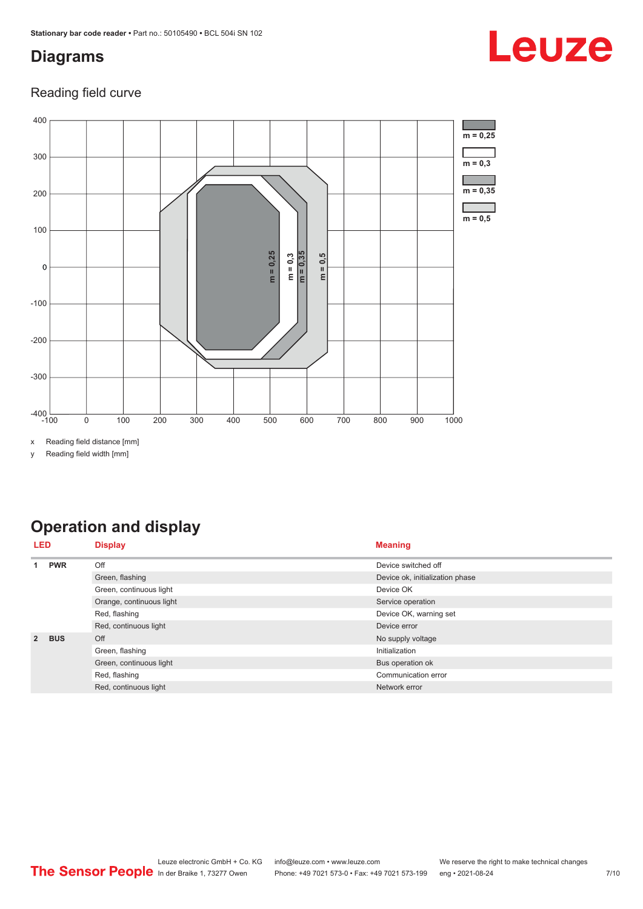### <span id="page-6-0"></span>**Diagrams**

### Reading field curve



x Reading field distance [mm]

y Reading field width [mm]

### **Operation and display**

| LED            |            | <b>Display</b>           | <b>Meaning</b>                  |
|----------------|------------|--------------------------|---------------------------------|
|                | <b>PWR</b> | Off                      | Device switched off             |
|                |            | Green, flashing          | Device ok, initialization phase |
|                |            | Green, continuous light  | Device OK                       |
|                |            | Orange, continuous light | Service operation               |
|                |            | Red, flashing            | Device OK, warning set          |
|                |            | Red, continuous light    | Device error                    |
| $\overline{2}$ | <b>BUS</b> | Off                      | No supply voltage               |
|                |            | Green, flashing          | Initialization                  |
|                |            | Green, continuous light  | Bus operation ok                |
|                |            | Red, flashing            | Communication error             |
|                |            | Red, continuous light    | Network error                   |

# Leuze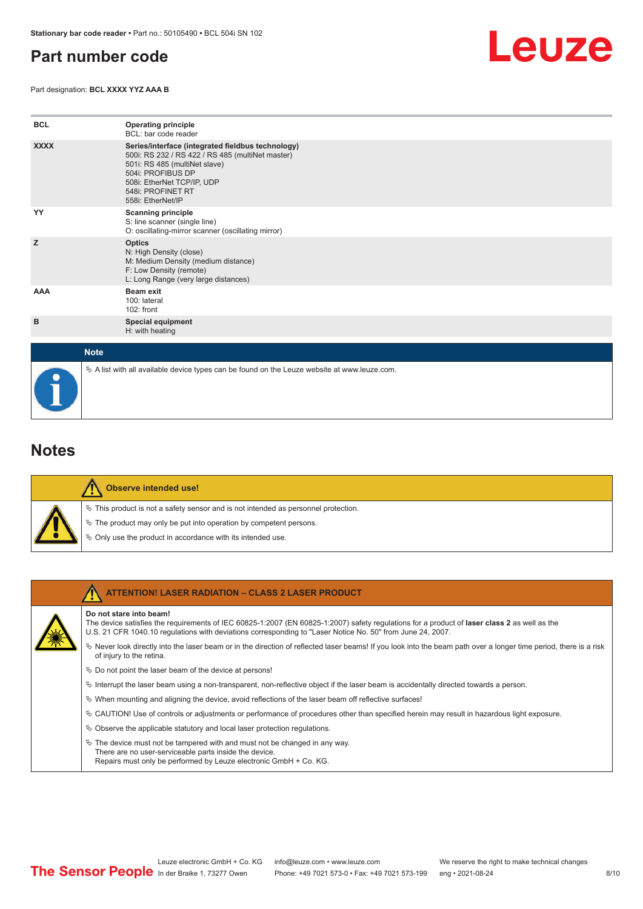### <span id="page-7-0"></span>**Part number code**

Part designation: **BCL XXXX YYZ AAA B**



| <b>BCL</b>  | <b>Operating principle</b><br>BCL: bar code reader                                                                                                                                                                                  |
|-------------|-------------------------------------------------------------------------------------------------------------------------------------------------------------------------------------------------------------------------------------|
| <b>XXXX</b> | Series/interface (integrated fieldbus technology)<br>500i: RS 232 / RS 422 / RS 485 (multiNet master)<br>501i: RS 485 (multiNet slave)<br>504i: PROFIBUS DP<br>508i: EtherNet TCP/IP, UDP<br>548i: PROFINET RT<br>558i: EtherNet/IP |
| YY          | <b>Scanning principle</b><br>S: line scanner (single line)<br>O: oscillating-mirror scanner (oscillating mirror)                                                                                                                    |
| z           | <b>Optics</b><br>N: High Density (close)<br>M: Medium Density (medium distance)<br>F: Low Density (remote)<br>L: Long Range (very large distances)                                                                                  |
| AAA         | <b>Beam exit</b><br>100: lateral<br>102: front                                                                                                                                                                                      |
| в           | <b>Special equipment</b><br>H: with heating                                                                                                                                                                                         |
| <b>Note</b> |                                                                                                                                                                                                                                     |

**Notes**

| Observe intended use!                                                                 |
|---------------------------------------------------------------------------------------|
| $\%$ This product is not a safety sensor and is not intended as personnel protection. |
| $\&$ The product may only be put into operation by competent persons.                 |
| ♦ Only use the product in accordance with its intended use.                           |

 $\%$  A list with all available device types can be found on the Leuze website at www.leuze.com.

| <b>ATTENTION! LASER RADIATION - CLASS 2 LASER PRODUCT</b>                                                                                                                                                                                                                             |
|---------------------------------------------------------------------------------------------------------------------------------------------------------------------------------------------------------------------------------------------------------------------------------------|
| Do not stare into beam!<br>The device satisfies the requirements of IEC 60825-1:2007 (EN 60825-1:2007) safety requiations for a product of laser class 2 as well as the<br>U.S. 21 CFR 1040.10 requlations with deviations corresponding to "Laser Notice No. 50" from June 24, 2007. |
| $\&$ Never look directly into the laser beam or in the direction of reflected laser beams! If you look into the beam path over a longer time period, there is a risk<br>of injury to the retina.                                                                                      |
| $\%$ Do not point the laser beam of the device at persons!                                                                                                                                                                                                                            |
| $\%$ Interrupt the laser beam using a non-transparent, non-reflective object if the laser beam is accidentally directed towards a person.                                                                                                                                             |
| $\%$ When mounting and aligning the device, avoid reflections of the laser beam off reflective surfaces!                                                                                                                                                                              |
| $\%$ CAUTION! Use of controls or adjustments or performance of procedures other than specified herein may result in hazardous light exposure.                                                                                                                                         |
| $\&$ Observe the applicable statutory and local laser protection regulations.                                                                                                                                                                                                         |
| $\&$ The device must not be tampered with and must not be changed in any way.<br>There are no user-serviceable parts inside the device.<br>Repairs must only be performed by Leuze electronic GmbH + Co. KG.                                                                          |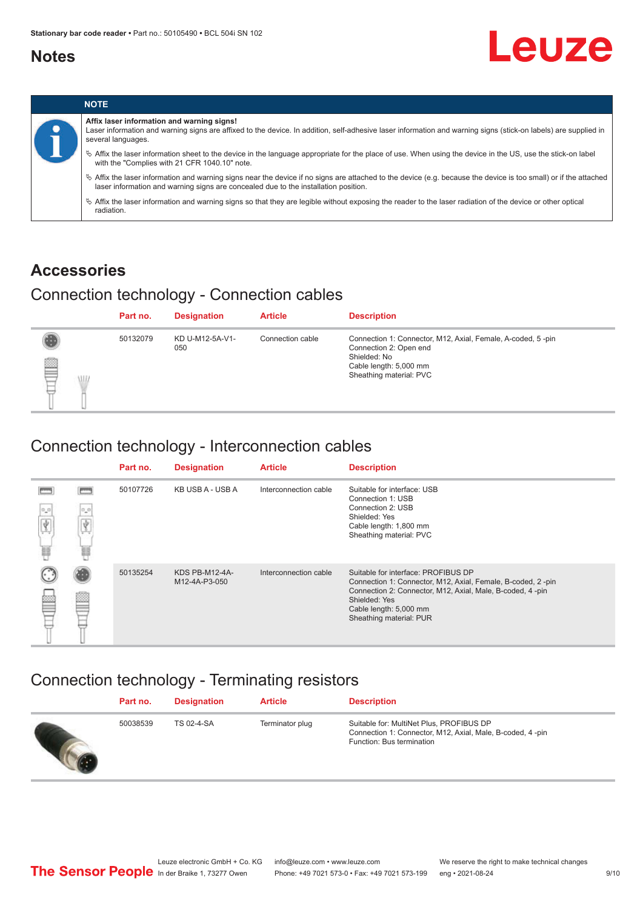### <span id="page-8-0"></span>**Notes**

# Leuze



### **Accessories**

### Connection technology - Connection cables

|             | Part no. | <b>Designation</b>     | <b>Article</b>   | <b>Description</b>                                                                                                                                         |
|-------------|----------|------------------------|------------------|------------------------------------------------------------------------------------------------------------------------------------------------------------|
| ▌<br>W<br>⊢ | 50132079 | KD U-M12-5A-V1-<br>050 | Connection cable | Connection 1: Connector, M12, Axial, Female, A-coded, 5-pin<br>Connection 2: Open end<br>Shielded: No<br>Cable length: 5,000 mm<br>Sheathing material: PVC |

### Connection technology - Interconnection cables

|          |                      | Part no. | <b>Designation</b>              | <b>Article</b>        | <b>Description</b>                                                                                                                                                                                                                    |
|----------|----------------------|----------|---------------------------------|-----------------------|---------------------------------------------------------------------------------------------------------------------------------------------------------------------------------------------------------------------------------------|
| $\alpha$ | $\circ$ $\circ$<br>e | 50107726 | KB USB A - USB A                | Interconnection cable | Suitable for interface: USB<br>Connection 1: USB<br>Connection 2: USB<br>Shielded: Yes<br>Cable length: 1,800 mm<br>Sheathing material: PVC                                                                                           |
|          |                      | 50135254 | KDS PB-M12-4A-<br>M12-4A-P3-050 | Interconnection cable | Suitable for interface: PROFIBUS DP<br>Connection 1: Connector, M12, Axial, Female, B-coded, 2-pin<br>Connection 2: Connector, M12, Axial, Male, B-coded, 4-pin<br>Shielded: Yes<br>Cable length: 5,000 mm<br>Sheathing material: PUR |

### Connection technology - Terminating resistors

| Part no. | <b>Designation</b> | <b>Article</b>  | <b>Description</b>                                                                                                                 |
|----------|--------------------|-----------------|------------------------------------------------------------------------------------------------------------------------------------|
| 50038539 | TS 02-4-SA         | Terminator plug | Suitable for: MultiNet Plus, PROFIBUS DP<br>Connection 1: Connector, M12, Axial, Male, B-coded, 4-pin<br>Function: Bus termination |